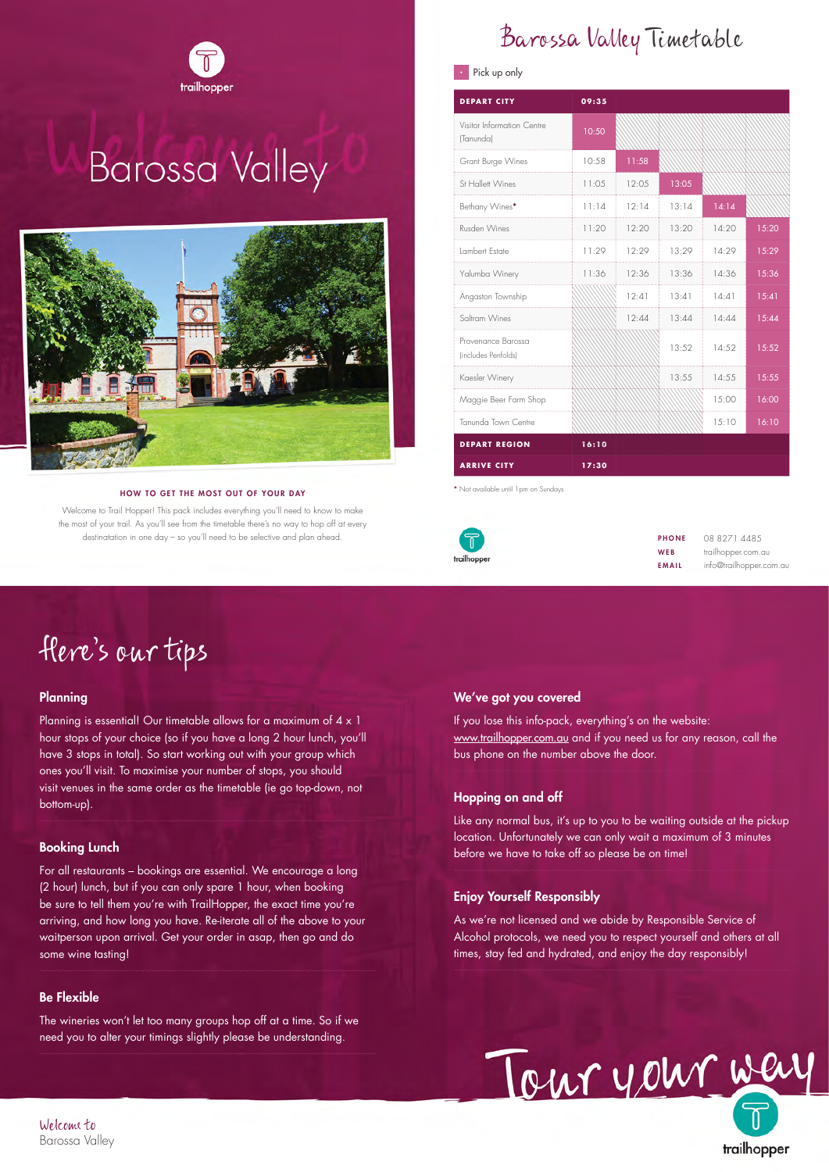

# **Barossa Valley**



#### HOW TO GET THE MOST OUT OF YOUR DAY

Welcome to Trail Hopper! This pack includes everything you'll need to know to make the most of your trail. As you'll see from the timetable there's no way to hop off at every destinatation in one day – so you'll need to be selective and plan ahead.

## Barossa Valley Timetable

#### $\cdot$  Pick up only

| <b>DEPART CITY</b>                        | 09:35 |        |       |       |       |
|-------------------------------------------|-------|--------|-------|-------|-------|
| Visitor Information Centre<br>(Tanunda)   | 10:50 |        |       |       |       |
| Grant Burge Wines                         | 10:58 | 11:58  |       |       |       |
| St Hallett Wines                          | 11:05 | 12:0.5 | 13:05 |       |       |
| Bethany Wines*                            | 11:14 | 12:14  | 13:14 | 14:14 |       |
| Rusden Wines                              | 11:20 | 12:20  | 13:20 | 14:20 | 15:20 |
| Lambert Estate                            | 11:29 | 12:29  | 13:29 | 14:29 | 15:29 |
| Yalumba Winery                            | 11:36 | 12:36  | 13:36 | 14:36 | 15:36 |
| Angaston Township                         |       | 12:41  | 13:41 | 14:41 | 15:41 |
| Saltram Wines                             |       | 12:44  | 13:44 | 14:44 | 15:44 |
| Provenance Barossa<br>(includes Penfolds) |       |        | 13:52 | 14:52 | 15:52 |
| Kaesler Winery                            |       |        | 13:55 | 14:55 | 15:55 |
| Maggie Beer Farm Shop                     |       |        |       | 15:00 | 16:00 |
| Tanunda Town Centre                       |       |        |       | 15:10 | 16:10 |
| <b>DEPART REGION</b>                      | 16:10 |        |       |       |       |
| <b>ARRIVE CITY</b>                        | 17:30 |        |       |       |       |

**\*** Not available until 1pm on Sundays



PHONE WEB EMAIL

08 8271 4485 trailhopper.com.au info@trailhopper.com.au

## Here's our tips

#### Planning

Planning is essential! Our timetable allows for a maximum of  $4 \times 1$ hour stops of your choice (so if you have a long 2 hour lunch, you'll have 3 stops in total). So start working out with your group which ones you'll visit. To maximise your number of stops, you should visit venues in the same order as the timetable (ie go top-down, not bottom-up).

#### Booking Lunch

For all restaurants – bookings are essential. We encourage a long (2 hour) lunch, but if you can only spare 1 hour, when booking be sure to tell them you're with TrailHopper, the exact time you're arriving, and how long you have. Re-iterate all of the above to your waitperson upon arrival. Get your order in asap, then go and do some wine tasting!

#### Be Flexible

The wineries won't let too many groups hop off at a time. So if we need you to alter your timings slightly please be understanding.

#### We've got you covered

If you lose this info-pack, everything's on the website: www.trailhopper.com.au and if you need us for any reason, call the bus phone on the number above the door.

#### Hopping on and off

Like any normal bus, it's up to you to be waiting outside at the pickup location. Unfortunately we can only wait a maximum of 3 minutes before we have to take off so please be on time!

#### Enjoy Yourself Responsibly

As we're not licensed and we abide by Responsible Service of Alcohol protocols, we need you to respect yourself and others at all times, stay fed and hydrated, and enjoy the day responsibly!



trailhopper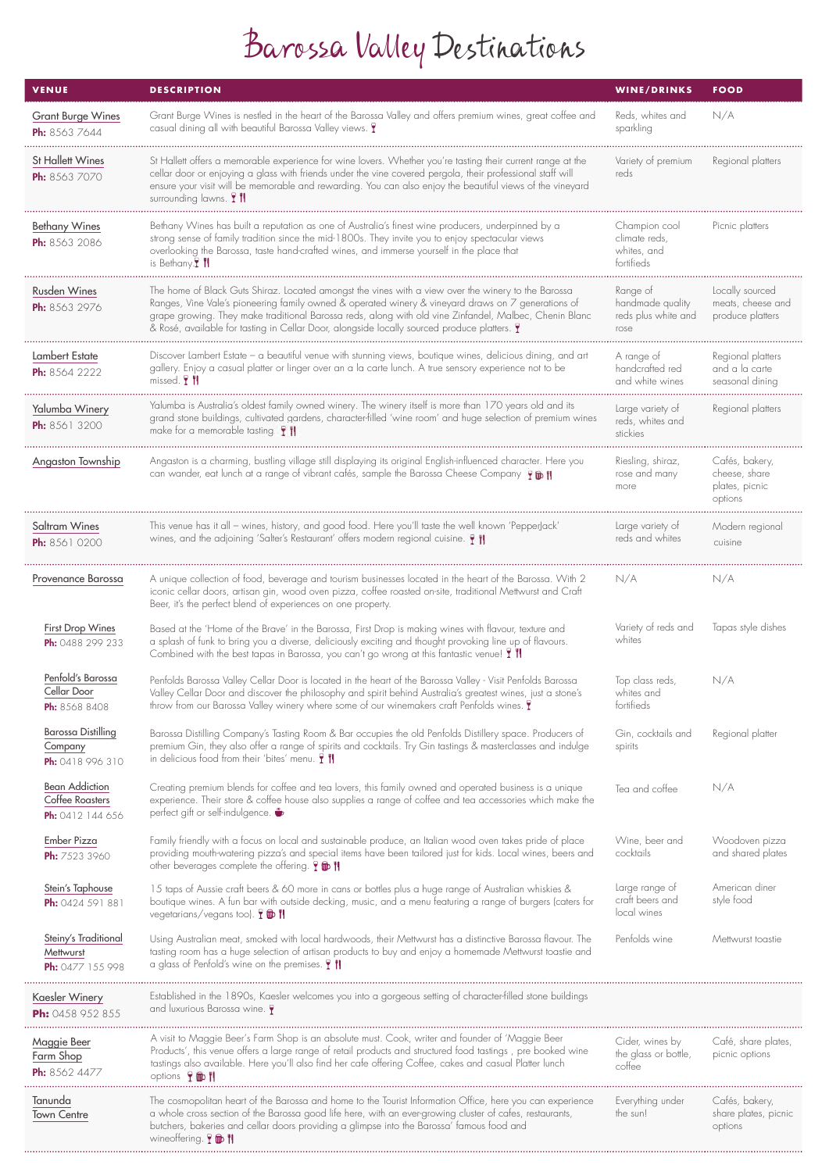# Barossa Valley Destinations

| <b>VENUE</b>                                                 | <b>DESCRIPTION</b>                                                                                                                                                                                                                                                                                                                                                                                                 | <b>WINE/DRINKS</b>                                          | <b>FOOD</b>                                                  |
|--------------------------------------------------------------|--------------------------------------------------------------------------------------------------------------------------------------------------------------------------------------------------------------------------------------------------------------------------------------------------------------------------------------------------------------------------------------------------------------------|-------------------------------------------------------------|--------------------------------------------------------------|
| <b>Grant Burge Wines</b><br><b>Ph:</b> 8563 7644             | Grant Burge Wines is nestled in the heart of the Barossa Valley and offers premium wines, great coffee and<br>casual dining all with beautiful Barossa Valley views. <b>T</b>                                                                                                                                                                                                                                      | Reds, whites and<br>sparkling                               | N/A                                                          |
| St Hallett Wines<br>Ph: 8563 7070                            | St Hallett offers a memorable experience for wine lovers. Whether you're tasting their current range at the<br>cellar door or enjoying a glass with friends under the vine covered pergola, their professional staff will<br>ensure your visit will be memorable and rewarding. You can also enjoy the beautiful views of the vineyard<br>surrounding lawns. <b>I'll</b>                                           | Variety of premium<br>reds                                  | Regional platters                                            |
| <b>Bethany Wines</b><br><b>Ph:</b> 8563 2086                 | Bethany Wines has built a reputation as one of Australia's finest wine producers, underpinned by a<br>strong sense of family tradition since the mid-1800s. They invite you to enjoy spectacular views<br>overlooking the Barossa, taste hand-crafted wines, and immerse yourself in the place that<br>is Bethany. <b>I</b> 11                                                                                     | Champion cool<br>climate reds,<br>whites, and<br>fortifieds | Picnic platters                                              |
| <b>Rusden Wines</b><br>Ph: 8563 2976                         | The home of Black Guts Shiraz. Located amongst the vines with a view over the winery to the Barossa<br>Ranges, Vine Vale's pioneering family owned & operated winery & vineyard draws on 7 generations of<br>grape growing. They make traditional Barossa reds, along with old vine Zinfandel, Malbec, Chenin Blanc<br>& Rosé, available for tasting in Cellar Door, alongside locally sourced produce platters. T | Range of<br>handmade quality<br>reds plus white and<br>rose | Locally sourced<br>meats, cheese and<br>produce platters     |
| Lambert Estate<br>Ph: 8564 2222                              | Discover Lambert Estate – a beautiful venue with stunning views, boutique wines, delicious dining, and art<br>gallery. Enjoy a casual platter or linger over an a la carte lunch. A true sensory experience not to be<br>missed. <b>1</b> 1                                                                                                                                                                        | A range of<br>handcrafted red<br>and white wines            | Regional platters<br>and a la carte<br>seasonal dining       |
| Yalumba Winery<br>Ph: 8561 3200                              | Yalumba is Australia's oldest family owned winery. The winery itself is more than 170 years old and its<br>grand stone buildings, cultivated gardens, character-filled 'wine room' and huge selection of premium wines<br>make for a memorable tasting. $\mathbf{Y}$ $\mathbf{N}$                                                                                                                                  | Large variety of<br>reds, whites and<br>stickies            | Regional platters                                            |
| Angaston Township                                            | Angaston is a charming, bustling village still displaying its original English-influenced character. Here you<br>can wander, eat lunch at a range of vibrant cafés, sample the Barossa Cheese Company (                                                                                                                                                                                                            | Riesling, shiraz,<br>rose and many<br>more                  | Cafés, bakery,<br>cheese, share<br>plates, picnic<br>options |
| Saltram Wines<br><b>Ph:</b> 8561 0200                        | This venue has it all – wines, history, and good food. Here you'll taste the well known 'PepperJack'<br>wines, and the adjoining 'Salter's Restaurant' offers modern regional cuisine. $\parallel \parallel$                                                                                                                                                                                                       | Large variety of<br>reds and whites                         | Modern regional<br>cuisine                                   |
| Provenance Barossa                                           | A unique collection of food, beverage and tourism businesses located in the heart of the Barossa. With 2<br>iconic cellar doors, artisan gin, wood oven pizza, coffee roasted on-site, traditional Mettwurst and Craft<br>Beer, it's the perfect blend of experiences on one property.                                                                                                                             | N/A                                                         | N/A                                                          |
| First Drop Wines<br>Ph: 0488 299 233                         | Based at the 'Home of the Brave' in the Barossa, First Drop is making wines with flavour, texture and<br>a splash of funk to bring you a diverse, deliciously exciting and thought provoking line up of flavours.<br>Combined with the best tapas in Barossa, you can't go wrong at this fantastic venue! I                                                                                                        | Variety of reds and<br>whites                               | Tapas style dishes                                           |
| Penfold's Barossa<br>Cellar Door<br><b>Ph:</b> 8568 8408     | Penfolds Barossa Valley Cellar Door is located in the heart of the Barossa Valley - Visit Penfolds Barossa<br>Valley Cellar Door and discover the philosophy and spirit behind Australia's greatest wines, just a stone's<br>throw from our Barossa Valley winery where some of our winemakers craft Penfolds wines. T                                                                                             | Top class reds,<br>whites and<br>fortifieds                 | N/A                                                          |
| <b>Barossa Distilling</b><br>Company<br>Ph: 0418 996 310     | Barossa Distilling Company's Tasting Room & Bar occupies the old Penfolds Distillery space. Producers of<br>premium Gin, they also offer a range of spirits and cocktails. Try Gin tastings & masterclasses and indulge<br>in delicious food from their 'bites' menu. $\parallel$ $\parallel$                                                                                                                      | Gin, cocktails and<br>spirits                               | Regional platter                                             |
| <b>Bean Addiction</b><br>Coffee Roasters<br>Ph: 0412 144 656 | Creating premium blends for coffee and tea lovers, this family owned and operated business is a unique<br>experience. Their store & coffee house also supplies a range of coffee and tea accessories which make the<br>perfect gift or self-indulgence.                                                                                                                                                            | Tea and coffee                                              | N/A                                                          |
| Ember Pizza<br><b>Ph:</b> 7523 3960                          | Family friendly with a focus on local and sustainable produce, an Italian wood oven takes pride of place<br>providing mouth-watering pizza's and special items have been tailored just for kids. Local wines, beers and<br>other beverages complete the offering. T to II                                                                                                                                          | Wine, beer and<br>cocktails                                 | Woodoven pizza<br>and shared plates                          |
| Stein's Taphouse<br>Ph: 0424 591 881                         | 15 taps of Aussie craft beers & 60 more in cans or bottles plus a huge range of Australian whiskies &<br>boutique wines. A fun bar with outside decking, music, and a menu featuring a range of burgers (caters for<br>vegetarians/vegans too). $\mathbf{T} \mathbf{D} \mathbf{N}$                                                                                                                                 | Large range of<br>craft beers and<br>local wines            | American diner<br>style food                                 |
| Steiny's Traditional<br>Mettwurst<br>Ph: 0477 155 998        | Using Australian meat, smoked with local hardwoods, their Mettwurst has a distinctive Barossa flavour. The<br>tasting room has a huge selection of artisan products to buy and enjoy a homemade Mettwurst toastie and<br>a glass of Penfold's wine on the premises. <b>T</b> 1                                                                                                                                     | Penfolds wine                                               | Mettwurst toastie                                            |
| Kaesler Winery<br>Ph: 0458 952 855                           | Established in the 1890s, Kaesler welcomes you into a gorgeous setting of character-filled stone buildings<br>and luxurious Barossa wine. $\bigtriangledown$                                                                                                                                                                                                                                                       |                                                             |                                                              |
| Maggie Beer<br>Farm Shop<br>Ph: 8562 4477                    | A visit to Maggie Beer's Farm Shop is an absolute must. Cook, writer and founder of 'Maggie Beer<br>Products', this venue offers a large range of retail products and structured food tastings, pre booked wine<br>tastings also available. Here you'll also find her cafe offering Coffee, cakes and casual Platter lunch<br>options Ym <sup>1</sup>                                                              | Cider, wines by<br>the glass or bottle,<br>coffee           | Café, share plates,<br>picnic options                        |
| Tanunda<br><b>Town Centre</b>                                | The cosmopolitan heart of the Barossa and home to the Tourist Information Office, here you can experience<br>a whole cross section of the Barossa good life here, with an ever-growing cluster of cafes, restaurants,<br>butchers, bakeries and cellar doors providing a glimpse into the Barossa' famous food and<br>wineoffering. $\mathbf{T} \mathbf{D} \mathbf{N}$                                             | Everything under<br>the sun!                                | Cafés, bakery,<br>share plates, picnic<br>options            |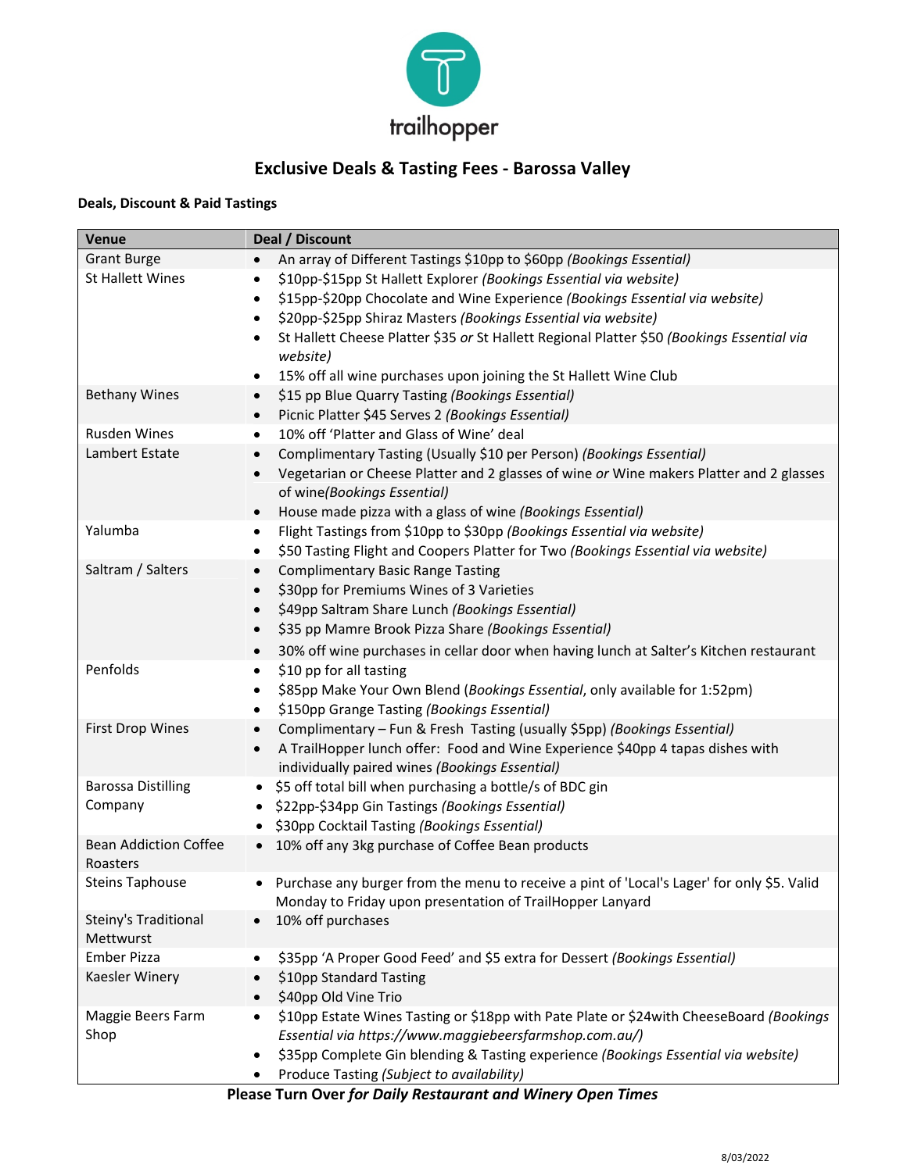

### **Exclusive Deals & Tasting Fees ‐ Barossa Valley**

#### **Deals, Discount & Paid Tastings**

| Venue                        | Deal / Discount                                                                                         |  |  |  |
|------------------------------|---------------------------------------------------------------------------------------------------------|--|--|--|
| <b>Grant Burge</b>           | An array of Different Tastings \$10pp to \$60pp (Bookings Essential)<br>$\bullet$                       |  |  |  |
| <b>St Hallett Wines</b>      | \$10pp-\$15pp St Hallett Explorer (Bookings Essential via website)<br>٠                                 |  |  |  |
|                              | \$15pp-\$20pp Chocolate and Wine Experience (Bookings Essential via website)<br>٠                       |  |  |  |
|                              | \$20pp-\$25pp Shiraz Masters (Bookings Essential via website)<br>$\bullet$                              |  |  |  |
|                              | St Hallett Cheese Platter \$35 or St Hallett Regional Platter \$50 (Bookings Essential via<br>$\bullet$ |  |  |  |
|                              | website)                                                                                                |  |  |  |
|                              | 15% off all wine purchases upon joining the St Hallett Wine Club<br>٠                                   |  |  |  |
| <b>Bethany Wines</b>         | \$15 pp Blue Quarry Tasting (Bookings Essential)<br>$\bullet$                                           |  |  |  |
|                              | Picnic Platter \$45 Serves 2 (Bookings Essential)<br>$\bullet$                                          |  |  |  |
| Rusden Wines                 | 10% off 'Platter and Glass of Wine' deal<br>$\bullet$                                                   |  |  |  |
| Lambert Estate               | Complimentary Tasting (Usually \$10 per Person) (Bookings Essential)<br>$\bullet$                       |  |  |  |
|                              | Vegetarian or Cheese Platter and 2 glasses of wine or Wine makers Platter and 2 glasses<br>$\bullet$    |  |  |  |
|                              | of wine(Bookings Essential)                                                                             |  |  |  |
|                              | House made pizza with a glass of wine (Bookings Essential)<br>$\bullet$                                 |  |  |  |
| Yalumba                      | Flight Tastings from \$10pp to \$30pp (Bookings Essential via website)<br>٠                             |  |  |  |
|                              | \$50 Tasting Flight and Coopers Platter for Two (Bookings Essential via website)<br>$\bullet$           |  |  |  |
| Saltram / Salters            | <b>Complimentary Basic Range Tasting</b><br>$\bullet$                                                   |  |  |  |
|                              | \$30pp for Premiums Wines of 3 Varieties<br>$\bullet$                                                   |  |  |  |
|                              | \$49pp Saltram Share Lunch (Bookings Essential)<br>$\bullet$                                            |  |  |  |
|                              | \$35 pp Mamre Brook Pizza Share (Bookings Essential)<br>$\bullet$                                       |  |  |  |
|                              | 30% off wine purchases in cellar door when having lunch at Salter's Kitchen restaurant<br>$\bullet$     |  |  |  |
| Penfolds                     | \$10 pp for all tasting<br>$\bullet$                                                                    |  |  |  |
|                              | \$85pp Make Your Own Blend (Bookings Essential, only available for 1:52pm)<br>$\bullet$                 |  |  |  |
|                              | \$150pp Grange Tasting (Bookings Essential)<br>$\bullet$                                                |  |  |  |
| <b>First Drop Wines</b>      | Complimentary - Fun & Fresh Tasting (usually \$5pp) (Bookings Essential)<br>$\bullet$                   |  |  |  |
|                              | A TrailHopper lunch offer: Food and Wine Experience \$40pp 4 tapas dishes with<br>$\bullet$             |  |  |  |
|                              | individually paired wines (Bookings Essential)                                                          |  |  |  |
| <b>Barossa Distilling</b>    | \$5 off total bill when purchasing a bottle/s of BDC gin<br>$\bullet$                                   |  |  |  |
| Company                      | \$22pp-\$34pp Gin Tastings (Bookings Essential)                                                         |  |  |  |
|                              | \$30pp Cocktail Tasting (Bookings Essential)<br>$\bullet$                                               |  |  |  |
| <b>Bean Addiction Coffee</b> | 10% off any 3kg purchase of Coffee Bean products<br>$\bullet$                                           |  |  |  |
| Roasters                     |                                                                                                         |  |  |  |
| <b>Steins Taphouse</b>       | • Purchase any burger from the menu to receive a pint of 'Local's Lager' for only \$5. Valid            |  |  |  |
| Steiny's Traditional         | Monday to Friday upon presentation of TrailHopper Lanyard<br>10% off purchases                          |  |  |  |
| Mettwurst                    |                                                                                                         |  |  |  |
| <b>Ember Pizza</b>           | \$35pp 'A Proper Good Feed' and \$5 extra for Dessert (Bookings Essential)<br>$\bullet$                 |  |  |  |
| Kaesler Winery               | \$10pp Standard Tasting<br>$\bullet$                                                                    |  |  |  |
|                              | \$40pp Old Vine Trio                                                                                    |  |  |  |
| Maggie Beers Farm            | \$10pp Estate Wines Tasting or \$18pp with Pate Plate or \$24with CheeseBoard (Bookings<br>٠            |  |  |  |
| Shop                         | Essential via https://www.maggiebeersfarmshop.com.au/)                                                  |  |  |  |
|                              | \$35pp Complete Gin blending & Tasting experience (Bookings Essential via website)<br>$\bullet$         |  |  |  |
|                              | Produce Tasting (Subject to availability)                                                               |  |  |  |
|                              |                                                                                                         |  |  |  |

**Please Turn Over** *for Daily Restaurant and Winery Open Times*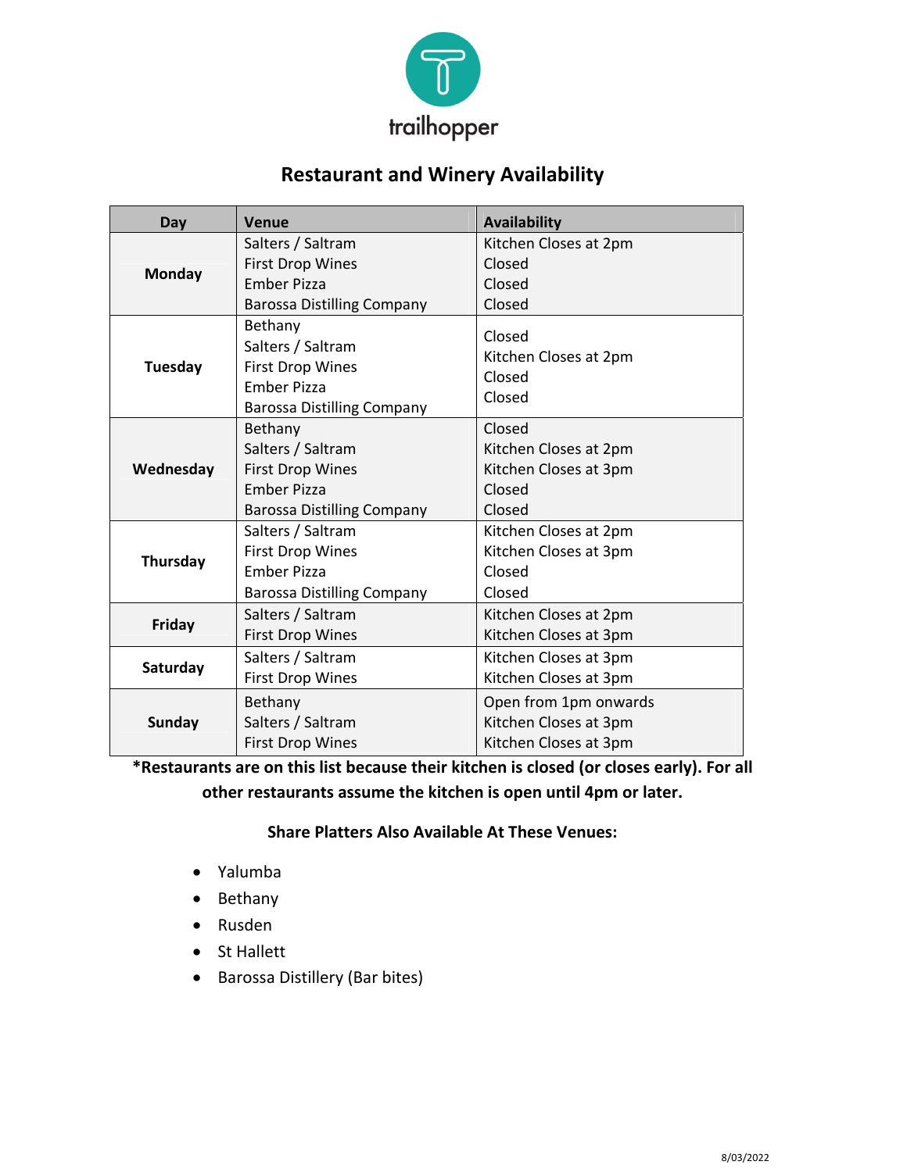

## **Restaurant and Winery Availability**

| Day           | Venue                                                                                                              | <b>Availability</b>                                                          |  |
|---------------|--------------------------------------------------------------------------------------------------------------------|------------------------------------------------------------------------------|--|
| Monday        | Salters / Saltram                                                                                                  | Kitchen Closes at 2pm                                                        |  |
|               | <b>First Drop Wines</b>                                                                                            | Closed                                                                       |  |
|               | <b>Ember Pizza</b>                                                                                                 | Closed                                                                       |  |
|               | <b>Barossa Distilling Company</b>                                                                                  | Closed                                                                       |  |
| Tuesday       | Bethany<br>Salters / Saltram<br><b>First Drop Wines</b><br><b>Ember Pizza</b><br><b>Barossa Distilling Company</b> | Closed<br>Kitchen Closes at 2pm<br>Closed<br>Closed                          |  |
| Wednesday     | Bethany<br>Salters / Saltram<br><b>First Drop Wines</b><br><b>Ember Pizza</b><br><b>Barossa Distilling Company</b> | Closed<br>Kitchen Closes at 2pm<br>Kitchen Closes at 3pm<br>Closed<br>Closed |  |
| Thursday      | Salters / Saltram<br><b>First Drop Wines</b><br><b>Ember Pizza</b><br><b>Barossa Distilling Company</b>            | Kitchen Closes at 2pm<br>Kitchen Closes at 3pm<br>Closed<br>Closed           |  |
| Friday        | Salters / Saltram<br><b>First Drop Wines</b>                                                                       | Kitchen Closes at 2pm<br>Kitchen Closes at 3pm                               |  |
| Saturday      | Salters / Saltram<br><b>First Drop Wines</b>                                                                       | Kitchen Closes at 3pm<br>Kitchen Closes at 3pm                               |  |
| <b>Sunday</b> | Bethany<br>Salters / Saltram<br><b>First Drop Wines</b>                                                            | Open from 1pm onwards<br>Kitchen Closes at 3pm<br>Kitchen Closes at 3pm      |  |

**\*Restaurants are on this list because their kitchen is closed (or closes early). For all other restaurants assume the kitchen is open until 4pm or later.**

#### **Share Platters Also Available At These Venues:**

- Yalumba
- Bethany
- Rusden
- St Hallett
- Barossa Distillery (Bar bites)